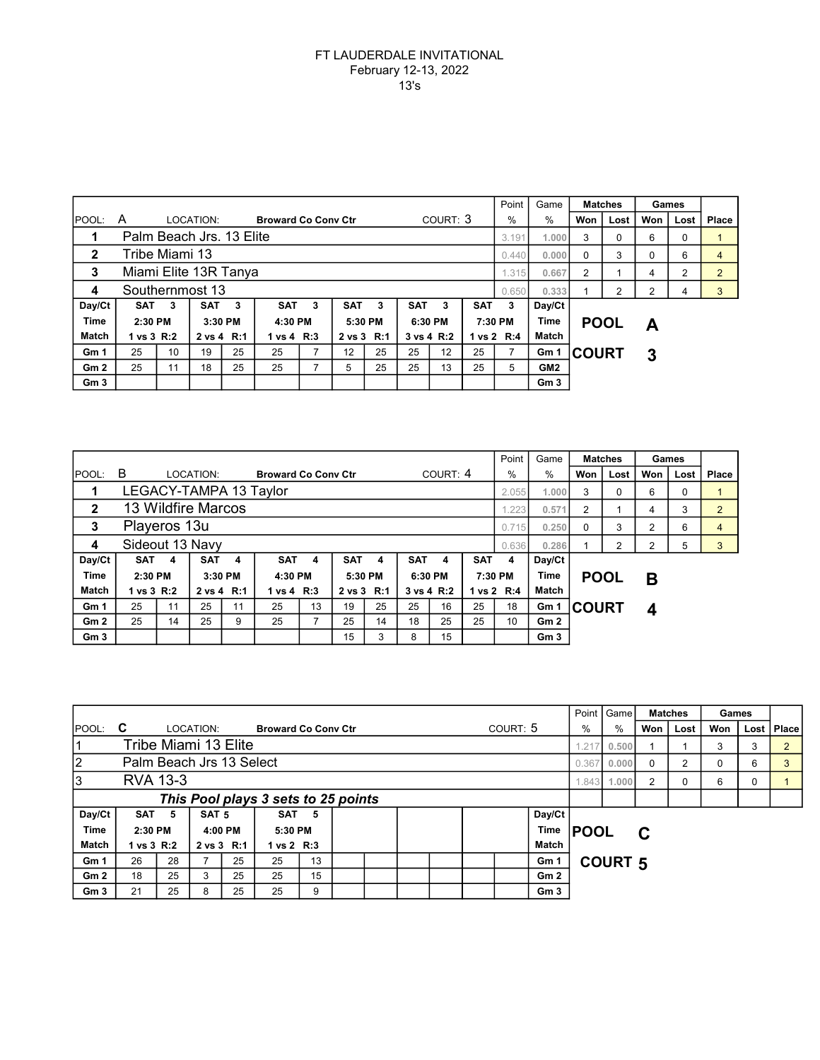## FT LAUDERDALE INVITATIONAL February 12-13, 2022 13's

|                 |                          |                |           |            |                            |                                    |    |            |            |            |            | Point   | Game            |              | <b>Matches</b> | Games |                |                |
|-----------------|--------------------------|----------------|-----------|------------|----------------------------|------------------------------------|----|------------|------------|------------|------------|---------|-----------------|--------------|----------------|-------|----------------|----------------|
| IPOOL:          | A                        |                | LOCATION: |            | <b>Broward Co Conv Ctr</b> |                                    |    |            | COURT: 3   |            |            | $\%$    | $\%$            | Won          | Lost           | Won   | Lost           | Place          |
|                 | Palm Beach Jrs. 13 Elite |                |           |            |                            |                                    |    |            |            |            |            |         | 1.000           | 3            | 0              | 6     | 0              |                |
| $\mathbf{2}$    | Tribe Miami 13           |                |           |            |                            |                                    |    |            |            |            |            | 0.440   | 0.000           | $\Omega$     | 3              | 0     | 6              | 4              |
| 3               | Miami Elite 13R Tanya    |                |           |            |                            |                                    |    |            |            |            |            | 1.315   | 0.667           | 2            |                | 4     | $\overline{2}$ | $\overline{2}$ |
| 4               | Southernmost 13          |                |           |            |                            |                                    |    |            |            |            |            |         | 0.333           |              | 2              | 2     | 4              | 3              |
| Day/Ct          | <b>SAT</b>               | 3              | SAT       | $_{3}$     |                            | <b>SAT</b><br><b>SAT</b><br>3<br>3 |    |            | <b>SAT</b> | 3          | <b>SAT</b> | 3       | Day/Ct          |              |                |       |                |                |
| <b>Time</b>     | 2:30 PM                  |                |           | 3:30 PM    |                            | 4:30 PM                            |    | 5:30 PM    |            | 6:30 PM    |            | 7:30 PM | Time            | <b>POOL</b>  |                | Α     |                |                |
| Match           | 1 vs 3 R:2<br>2 vs 4 R:1 |                |           | 1 vs 4 R:3 |                            | 2 vs 3 R:1                         |    | 3 vs 4 R:2 |            | 1 vs 2 R:4 |            | Match   |                 |              |                |       |                |                |
| Gm <sub>1</sub> | 25                       | 25<br>10<br>19 |           |            | 25                         |                                    | 12 | 25         | 25         | 12         | 25         |         | Gm 1            | <b>COURT</b> |                | 3     |                |                |
| Gm2             | 25                       | 11             | 18        | 25         | 25                         |                                    | 5  | 25         | 25         | 13         | 25         | 5       | GM <sub>2</sub> |              |                |       |                |                |
| Gm <sub>3</sub> |                          |                |           |            |                            |                                    |    |            |            |            |            |         | Gm <sub>3</sub> |              |                |       |                |                |

|                 |                          |                |            |            |                            |            |            |            |            |    |                        |              | Game            | <b>Matches</b> |      | Games         |      |                |
|-----------------|--------------------------|----------------|------------|------------|----------------------------|------------|------------|------------|------------|----|------------------------|--------------|-----------------|----------------|------|---------------|------|----------------|
| <b>IPOOL:</b>   | B                        |                | LOCATION:  |            | <b>Broward Co Conv Ctr</b> |            |            |            | COURT: 4   |    |                        | $\%$         | $\%$            | Won            | Lost | Won           | Lost | Place          |
|                 | LEGACY-TAMPA 13 Taylor   |                |            |            |                            |            |            |            |            |    |                        |              | 1.000           | 3              | 0    | 6             | 0    |                |
| $\mathbf{2}$    | 13 Wildfire Marcos       |                |            |            |                            |            |            |            |            |    |                        | 1.223        | 0.571           | 2              |      | 4             | 3    | $\overline{2}$ |
| 3               | Playeros 13u             |                |            |            |                            |            |            |            |            |    |                        | 0.715        | 0.250           | $\Omega$       | 3    | $\mathcal{P}$ | 6    | 4              |
| 4               | Sideout 13 Navy          |                |            |            |                            |            |            |            |            |    |                        |              | 0.286           |                | 2    | 2             | 5    | 3              |
| Day/Ct          | <b>SAT</b>               | 4              | <b>SAT</b> | 4          | <b>SAT</b>                 | 4          | <b>SAT</b> | 4          | <b>SAT</b> | 4  | <b>SAT</b>             | 4            | Day/Ct          |                |      |               |      |                |
| <b>Time</b>     | 2:30 PM<br>3:30 PM       |                |            | 4:30 PM    |                            | 5:30 PM    |            | 6:30 PM    |            |    | <b>Time</b><br>7:30 PM |              | <b>POOL</b>     |                | В    |               |      |                |
| Match           | 1 vs 3 R:2<br>2 vs 4 R:1 |                |            | 1 vs 4 R:3 |                            | 2 vs 3 R:1 |            | 3 vs 4 R:2 |            |    | 1 vs 2 R:4             | <b>Match</b> |                 |                |      |               |      |                |
| Gm <sub>1</sub> | 25                       | 25<br>11<br>11 |            |            | 13<br>25                   |            | 19         | 25         | 25         | 16 | 25                     | 18           | Gm 1            | <b>COURT</b>   |      | 4             |      |                |
| Gm <sub>2</sub> | 25                       | 14             | 25         | 9          | 25                         |            | 25         | 14         | 18         | 25 | 25                     | 10           | Gm2             |                |      |               |      |                |
| Gm <sub>3</sub> |                          |                |            |            |                            |            | 15         | 3          | 8          | 15 |                        |              | Gm <sub>3</sub> |                |      |               |      |                |

|                 |                                     |                                        |                  |         |                            |    |  |  |  |      |             |              |                 |       | Point   Game<br><b>Matches</b> |     |      | Games |   |                |
|-----------------|-------------------------------------|----------------------------------------|------------------|---------|----------------------------|----|--|--|--|------|-------------|--------------|-----------------|-------|--------------------------------|-----|------|-------|---|----------------|
| Ipool: <b>C</b> |                                     |                                        | LOCATION:        |         | <b>Broward Co Conv Ctr</b> |    |  |  |  |      | COUNT: 5    | %            | %               | Won I | Lost                           | Won | Lost | Place |   |                |
| 1               | Tribe Miami 13 Elite                |                                        |                  |         |                            |    |  |  |  |      |             |              |                 |       | 0.500                          |     |      | 3     | 3 | $\overline{2}$ |
| $\overline{2}$  | Palm Beach Jrs 13 Select            |                                        |                  |         |                            |    |  |  |  |      |             |              |                 | 0.367 | 0.000                          | 0   | 2    | 0     | 6 | 3              |
| 3               | <b>RVA 13-3</b>                     |                                        |                  |         |                            |    |  |  |  |      |             |              |                 | 1.843 | 1.000                          | 2   | 0    | 6     | 0 |                |
|                 | This Pool plays 3 sets to 25 points |                                        |                  |         |                            |    |  |  |  |      |             |              |                 |       |                                |     |      |       |   |                |
| Day/Ct          | SAT <sub>5</sub>                    |                                        | SAT <sub>5</sub> |         | <b>SAT</b>                 | -5 |  |  |  |      |             |              | Day/Ct          |       |                                |     |      |       |   |                |
| <b>Time</b>     | 2:30 PM<br>4:00 PM                  |                                        |                  | 5:30 PM |                            |    |  |  |  | Time | <b>POOL</b> |              | C               |       |                                |     |      |       |   |                |
| Match           |                                     | 1 vs 3 R:2<br>2 vs 3 R:1<br>1 vs 2 R:3 |                  |         |                            |    |  |  |  |      |             | <b>Match</b> |                 |       |                                |     |      |       |   |                |
| Gm 1            | 26                                  | 28                                     |                  | 25      | 25                         | 13 |  |  |  |      |             |              | Gm 1            |       | <b>COURT 5</b>                 |     |      |       |   |                |
| Gm <sub>2</sub> | 18                                  | 25                                     | 3                | 25      | 25                         | 15 |  |  |  |      |             |              | Gm <sub>2</sub> |       |                                |     |      |       |   |                |
| Gm <sub>3</sub> | 21                                  | 25                                     | 8                | 25      | 25                         | 9  |  |  |  |      |             |              | Gm <sub>3</sub> |       |                                |     |      |       |   |                |